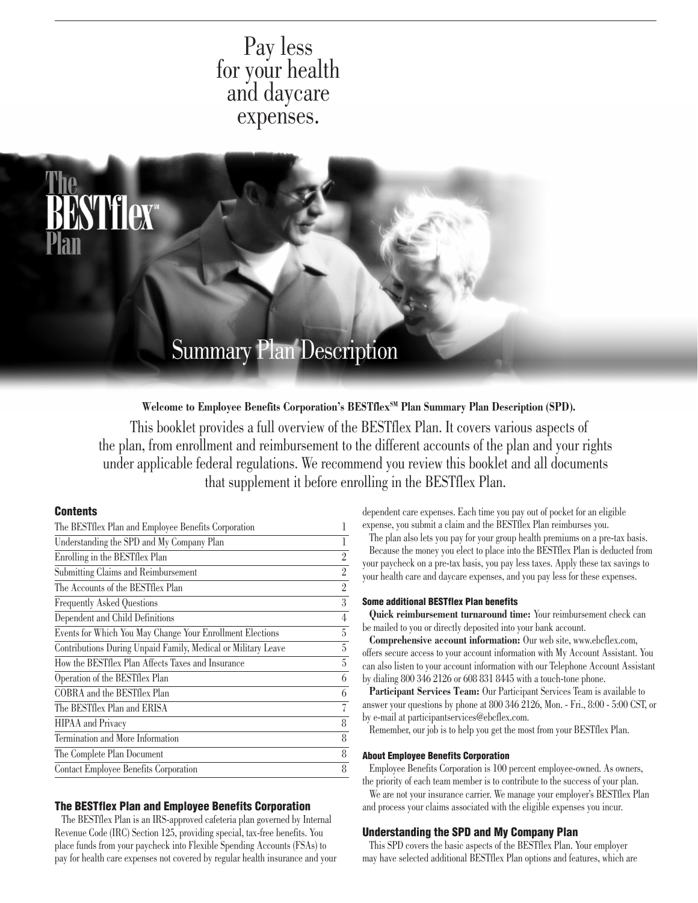# Pay less for your health and daycare expenses.



Welcome to Employee Benefits Corporation's BESTflex<sup>SM</sup> Plan Summary Plan Description (SPD).

This booklet provides a full overview of the BESTflex Plan. It covers various aspects of the plan, from enrollment and reimbursement to the different accounts of the plan and your rights under applicable federal regulations. We recommend you review this booklet and all documents that supplement it before enrolling in the BESTflex Plan.

# **Contents**

| The BESTflex Plan and Employee Benefits Corporation           | 1              |
|---------------------------------------------------------------|----------------|
| Understanding the SPD and My Company Plan                     | 1              |
| Enrolling in the BESTflex Plan                                | $\overline{2}$ |
| Submitting Claims and Reimbursement                           | $\overline{2}$ |
| The Accounts of the BESTflex Plan                             | $\overline{2}$ |
| <b>Frequently Asked Questions</b>                             | $\overline{3}$ |
| Dependent and Child Definitions                               | 4              |
| Events for Which You May Change Your Enrollment Elections     | 5              |
| Contributions During Unpaid Family, Medical or Military Leave | 5              |
| How the BEST flex Plan Affects Taxes and Insurance            | 5              |
| Operation of the BESTflex Plan                                | 6              |
| COBRA and the BESTflex Plan                                   | 6              |
| The BESTflex Plan and ERISA                                   | 7              |
| <b>HIPAA</b> and Privacy                                      | 8              |
| Termination and More Information                              | 8              |
| The Complete Plan Document                                    | 8              |
| Contact Employee Benefits Corporation                         | 8              |
|                                                               |                |

### The BESTflex Plan and Employee Benefits Corporation

The BESTflex Plan is an IRS-approved cafeteria plan governed by Internal Revenue Code (IRC) Section 125, providing special, tax-free benefits. You place funds from your paycheck into Flexible Spending Accounts (FSAs) to pay for health care expenses not covered by regular health insurance and your dependent care expenses. Each time you pay out of pocket for an eligible expense, you submit a claim and the BESTflex Plan reimburses you.

The plan also lets you pay for your group health premiums on a pre-tax basis. Because the money you elect to place into the BESTflex Plan is deducted from your paycheck on a pre-tax basis, you pay less taxes. Apply these tax savings to your health care and daycare expenses, and you pay less for these expenses.

#### Some additional BESTflex Plan benefits

**Quick reimbursement turnaround time:** Your reimbursement check can be mailed to you or directly deposited into your bank account.

**Comprehensive account information:** Our web site, www.ebcflex.com, offers secure access to your account information with My Account Assistant. You can also listen to your account information with our Telephone Account Assistant by dialing 800 346 2126 or 608 831 8445 with a touch-tone phone.

**Participant Services Team:** Our Participant Services Team is available to answer your questions by phone at 800 346 2126, Mon. - Fri., 8:00 - 5:00 CST, or by e-mail at participantservices@ebcflex.com.

Remember, our job is to help you get the most from your BESTflex Plan.

## About Employee Benefits Corporation

Employee Benefits Corporation is 100 percent employee-owned. As owners, the priority of each team member is to contribute to the success of your plan.

We are not your insurance carrier. We manage your employer's BESTflex Plan and process your claims associated with the eligible expenses you incur.

#### Understanding the SPD and My Company Plan

This SPD covers the basic aspects of the BESTflex Plan. Your employer may have selected additional BESTflex Plan options and features, which are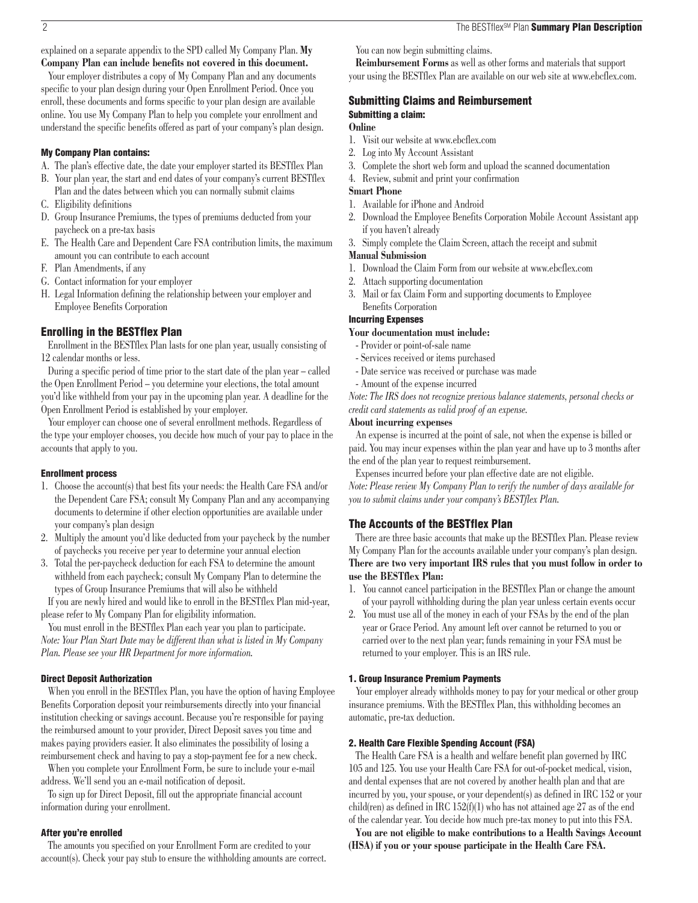<span id="page-1-0"></span>explained on a separate appendix to the SPD called My Company Plan. **My Company Plan can include benefits not covered in this document.**

Your employer distributes a copy of My Company Plan and any documents specific to your plan design during your Open Enrollment Period. Once you enroll, these documents and forms specific to your plan design are available online. You use My Company Plan to help you complete your enrollment and understand the specific benefits offered as part of your company's plan design.

#### My Company Plan contains:

- A. The plan's effective date, the date your employer started its BESTflex Plan
- B. Your plan year, the start and end dates of your company's current BESTflex Plan and the dates between which you can normally submit claims
- C. Eligibility definitions
- D. Group Insurance Premiums, the types of premiums deducted from your paycheck on a pre-tax basis
- E. The Health Care and Dependent Care FSA contribution limits, the maximum amount you can contribute to each account
- F. Plan Amendments, if any
- G. Contact information for your employer
- H. Legal Information defining the relationship between your employer and Employee Benefits Corporation

# Enrolling in the BESTflex Plan

Enrollment in the BESTflex Plan lasts for one plan year, usually consisting of 12 calendar months or less.

During a specific period of time prior to the start date of the plan year – called the Open Enrollment Period – you determine your elections, the total amount you'd like withheld from your pay in the upcoming plan year. A deadline for the Open Enrollment Period is established by your employer.

Your employer can choose one of several enrollment methods. Regardless of the type your employer chooses, you decide how much of your pay to place in the accounts that apply to you.

# Enrollment process

- 1. Choose the account(s) that best fits your needs: the Health Care FSA and/or the Dependent Care FSA; consult My Company Plan and any accompanying documents to determine if other election opportunities are available under your company's plan design
- 2. Multiply the amount you'd like deducted from your paycheck by the number of paychecks you receive per year to determine your annual election
- 3. Total the per-paycheck deduction for each FSA to determine the amount withheld from each paycheck; consult My Company Plan to determine the types of Group Insurance Premiums that will also be withheld

If you are newly hired and would like to enroll in the BESTflex Plan mid-year, please refer to My Company Plan for eligibility information.

You must enroll in the BESTflex Plan each year you plan to participate. *Note: Your Plan Start Date may be different than what is listed in My Company Plan. Please see your HR Department for more information.*

### Direct Deposit Authorization

When you enroll in the BESTflex Plan, you have the option of having Employee Benefits Corporation deposit your reimbursements directly into your financial institution checking or savings account. Because you're responsible for paying the reimbursed amount to your provider, Direct Deposit saves you time and makes paying providers easier. It also eliminates the possibility of losing a reimbursement check and having to pay a stop-payment fee for a new check.

When you complete your Enrollment Form, be sure to include your e-mail address. We'll send you an e-mail notification of deposit.

To sign up for Direct Deposit, fill out the appropriate financial account information during your enrollment.

#### After you're enrolled

The amounts you specified on your Enrollment Form are credited to your account(s). Check your pay stub to ensure the withholding amounts are correct. You can now begin submitting claims.

**Reimbursement Forms** as well as other forms and materials that support your using the BESTflex Plan are available on our web site at www.ebcflex.com.

# Submitting Claims and Reimbursement Submitting a claim:

# **Online**

- 1. Visit our website at www.ebcflex.com
- 2. Log into My Account Assistant
- 3. Complete the short web form and upload the scanned documentation
- 4. Review, submit and print your confirmation

# **Smart Phone**

- 1. Available for iPhone and Android
- 2. Download the Employee Benefits Corporation Mobile Account Assistant app if you haven't already
- 3. Simply complete the Claim Screen, attach the receipt and submit

# **Manual Submission**

- 1. Download the Claim Form from our website at www.ebcflex.com
- 2. Attach supporting documentation
- 3. Mail or fax Claim Form and supporting documents to Employee Benefits Corporation

# Incurring Expenses

# **Your documentation must include:**

- Provider or point-of-sale name
- Services received or items purchased
- Date service was received or purchase was made
- Amount of the expense incurred

*Note: The IRS does not recognize previous balance statements, personal checks or credit card statements as valid proof of an expense.*

### **About incurring expenses**

An expense is incurred at the point of sale, not when the expense is billed or paid. You may incur expenses within the plan year and have up to 3 months after the end of the plan year to request reimbursement.

Expenses incurred before your plan effective date are not eligible.

*Note: Please review My Company Plan to verify the number of days available for you to submit claims under your company's BESTflex Plan.*

### The Accounts of the BESTflex Plan

There are three basic accounts that make up the BESTflex Plan. Please review My Company Plan for the accounts available under your company's plan design. **There are two very important IRS rules that you must follow in order to use the BESTflex Plan:**

- 1. You cannot cancel participation in the BESTflex Plan or change the amount of your payroll withholding during the plan year unless certain events occur
- 2. You must use all of the money in each of your FSAs by the end of the plan year or Grace Period. Any amount left over cannot be returned to you or carried over to the next plan year; funds remaining in your FSA must be returned to your employer. This is an IRS rule.

# 1. Group Insurance Premium Payments

Your employer already withholds money to pay for your medical or other group insurance premiums. With the BESTflex Plan, this withholding becomes an automatic, pre-tax deduction.

#### 2. Health Care Flexible Spending Account (FSA)

The Health Care FSA is a health and welfare benefit plan governed by IRC 105 and 125. You use your Health Care FSA for out-of-pocket medical, vision, and dental expenses that are not covered by another health plan and that are incurred by you, your spouse, or your dependent(s) as defined in IRC 152 or your child(ren) as defined in IRC 152 $(f)(1)$  who has not attained age 27 as of the end of the calendar year. You decide how much pre-tax money to put into this FSA.

**You are not eligible to make contributions to a Health Savings Account (HSA) if you or your spouse participate in the Health Care FSA.**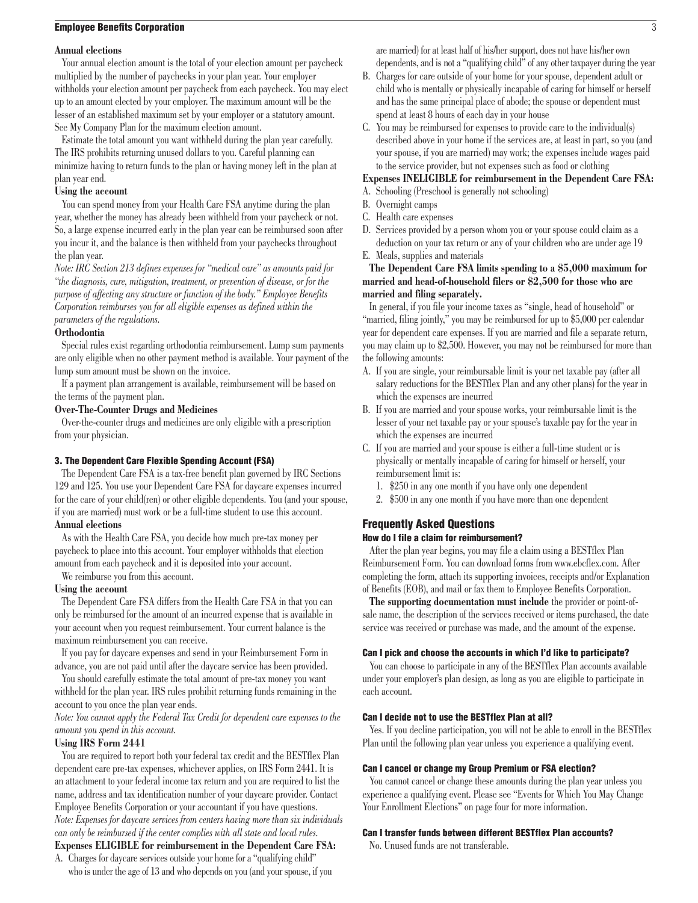#### <span id="page-2-0"></span>**Employee Benefits Corporation** 3

#### **Annual elections**

Your annual election amount is the total of your election amount per paycheck multiplied by the number of paychecks in your plan year. Your employer withholds your election amount per paycheck from each paycheck. You may elect up to an amount elected by your employer. The maximum amount will be the lesser of an established maximum set by your employer or a statutory amount. See My Company Plan for the maximum election amount.

Estimate the total amount you want withheld during the plan year carefully. The IRS prohibits returning unused dollars to you. Careful planning can minimize having to return funds to the plan or having money left in the plan at plan year end.

## **Using the account**

You can spend money from your Health Care FSA anytime during the plan year, whether the money has already been withheld from your paycheck or not. So, a large expense incurred early in the plan year can be reimbursed soon after you incur it, and the balance is then withheld from your paychecks throughout the plan year.

*Note: IRC Section 213 defines expenses for "medical care" as amounts paid for "the diagnosis, cure, mitigation, treatment, or prevention of disease, or for the purpose of affecting any structure or function of the body." Employee Benefits Corporation reimburses you for all eligible expenses as defined within the parameters of the regulations.*

# **Orthodontia**

Special rules exist regarding orthodontia reimbursement. Lump sum payments are only eligible when no other payment method is available. Your payment of the lump sum amount must be shown on the invoice.

If a payment plan arrangement is available, reimbursement will be based on the terms of the payment plan.

#### **Over-The-Counter Drugs and Medicines**

Over-the-counter drugs and medicines are only eligible with a prescription from your physician.

#### 3. The Dependent Care Flexible Spending Account (FSA)

The Dependent Care FSA is a tax-free benefit plan governed by IRC Sections 129 and 125. You use your Dependent Care FSA for daycare expenses incurred for the care of your child(ren) or other eligible dependents. You (and your spouse, if you are married) must work or be a full-time student to use this account. **Annual elections**

As with the Health Care FSA, you decide how much pre-tax money per paycheck to place into this account. Your employer withholds that election amount from each paycheck and it is deposited into your account.

We reimburse you from this account.

# **Using the account**

The Dependent Care FSA differs from the Health Care FSA in that you can only be reimbursed for the amount of an incurred expense that is available in your account when you request reimbursement. Your current balance is the maximum reimbursement you can receive.

If you pay for daycare expenses and send in your Reimbursement Form in advance, you are not paid until after the daycare service has been provided.

You should carefully estimate the total amount of pre-tax money you want withheld for the plan year. IRS rules prohibit returning funds remaining in the account to you once the plan year ends.

*Note: You cannot apply the Federal Tax Credit for dependent care expenses to the amount you spend in this account.* 

#### **Using IRS Form 2441**

You are required to report both your federal tax credit and the BESTflex Plan dependent care pre-tax expenses, whichever applies, on IRS Form 2441. It is an attachment to your federal income tax return and you are required to list the name, address and tax identification number of your daycare provider. Contact Employee Benefits Corporation or your accountant if you have questions. *Note: Expenses for daycare services from centers having more than six individuals can only be reimbursed if the center complies with all state and local rules.*

# **Expenses ELIGIBLE for reimbursement in the Dependent Care FSA:** A. Charges for daycare services outside your home for a "qualifying child"

who is under the age of 13 and who depends on you (and your spouse, if you

are married) for at least half of his/her support, does not have his/her own dependents, and is not a "qualifying child" of any other taxpayer during the year

- B. Charges for care outside of your home for your spouse, dependent adult or child who is mentally or physically incapable of caring for himself or herself and has the same principal place of abode; the spouse or dependent must spend at least 8 hours of each day in your house
- C. You may be reimbursed for expenses to provide care to the individual(s) described above in your home if the services are, at least in part, so you (and your spouse, if you are married) may work; the expenses include wages paid to the service provider, but not expenses such as food or clothing

#### **Expenses INELIGIBLE for reimbursement in the Dependent Care FSA:**

- A. Schooling (Preschool is generally not schooling)
- B. Overnight camps
- C. Health care expenses
- D. Services provided by a person whom you or your spouse could claim as a deduction on your tax return or any of your children who are under age 19
- E. Meals, supplies and materials

# **The Dependent Care FSA limits spending to a \$5,000 maximum for married and head-of-household filers or \$2,500 for those who are married and filing separately.**

In general, if you file your income taxes as "single, head of household" or "married, filing jointly," you may be reimbursed for up to \$5,000 per calendar year for dependent care expenses. If you are married and file a separate return, you may claim up to \$2,500. However, you may not be reimbursed for more than the following amounts:

- A. If you are single, your reimbursable limit is your net taxable pay (after all salary reductions for the BESTflex Plan and any other plans) for the year in which the expenses are incurred
- B. If you are married and your spouse works, your reimbursable limit is the lesser of your net taxable pay or your spouse's taxable pay for the year in which the expenses are incurred
- C. If you are married and your spouse is either a full-time student or is physically or mentally incapable of caring for himself or herself, your reimbursement limit is:
	- 1. \$250 in any one month if you have only one dependent
	- 2. \$500 in any one month if you have more than one dependent

# Frequently Asked Questions

# How do I file a claim for reimbursement?

After the plan year begins, you may file a claim using a BESTflex Plan Reimbursement Form. You can download forms from www.ebcflex.com. After completing the form, attach its supporting invoices, receipts and/or Explanation of Benefits (EOB), and mail or fax them to Employee Benefits Corporation.

**The supporting documentation must include** the provider or point-ofsale name, the description of the services received or items purchased, the date service was received or purchase was made, and the amount of the expense.

#### Can I pick and choose the accounts in which I'd like to participate?

You can choose to participate in any of the BESTflex Plan accounts available under your employer's plan design, as long as you are eligible to participate in each account.

#### Can I decide not to use the BESTflex Plan at all?

Yes. If you decline participation, you will not be able to enroll in the BESTflex Plan until the following plan year unless you experience a qualifying event.

#### Can I cancel or change my Group Premium or FSA election?

You cannot cancel or change these amounts during the plan year unless you experience a qualifying event. Please see "Events for Which You May Change Your Enrollment Elections" on page four for more information.

#### Can I transfer funds between different BESTflex Plan accounts?

No. Unused funds are not transferable.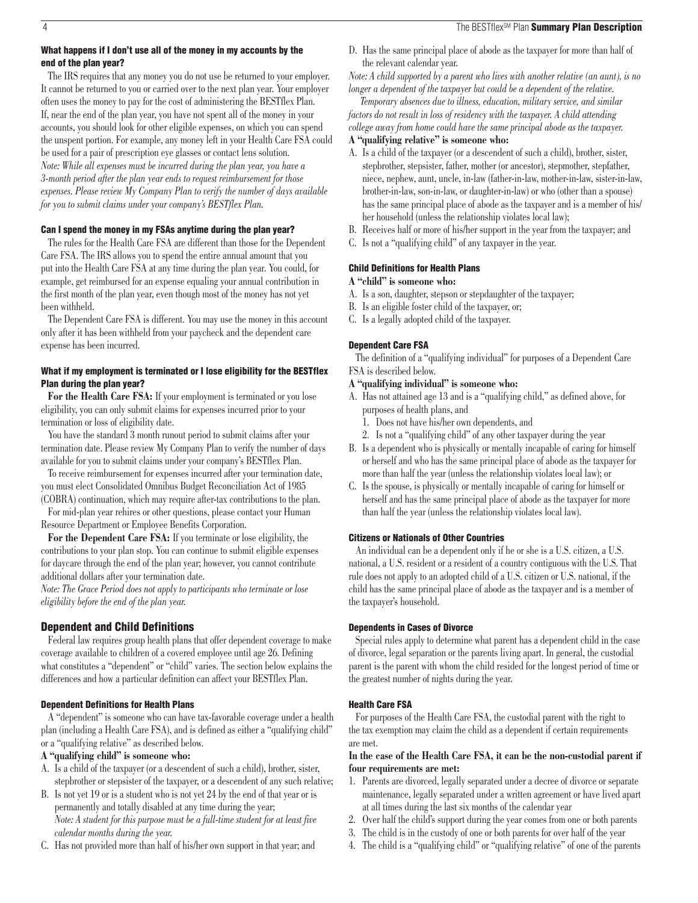### <span id="page-3-0"></span>What happens if I don't use all of the money in my accounts by the end of the plan year?

The IRS requires that any money you do not use be returned to your employer. It cannot be returned to you or carried over to the next plan year. Your employer often uses the money to pay for the cost of administering the BESTflex Plan. If, near the end of the plan year, you have not spent all of the money in your accounts, you should look for other eligible expenses, on which you can spend the unspent portion. For example, any money left in your Health Care FSA could be used for a pair of prescription eye glasses or contact lens solution. *Note: While all expenses must be incurred during the plan year, you have a 3-month period after the plan year ends to request reimbursement for those expenses. Please review My Company Plan to verify the number of days available for you to submit claims under your company's BESTflex Plan.*

# Can I spend the money in my FSAs anytime during the plan year?

The rules for the Health Care FSA are different than those for the Dependent Care FSA. The IRS allows you to spend the entire annual amount that you put into the Health Care FSA at any time during the plan year. You could, for example, get reimbursed for an expense equaling your annual contribution in the first month of the plan year, even though most of the money has not yet been withheld.

The Dependent Care FSA is different. You may use the money in this account only after it has been withheld from your paycheck and the dependent care expense has been incurred.

# What if my employment is terminated or I lose eligibility for the BESTflex Plan during the plan year?

For the Health Care FSA: If your employment is terminated or you lose eligibility, you can only submit claims for expenses incurred prior to your termination or loss of eligibility date.

You have the standard 3 month runout period to submit claims after your termination date. Please review My Company Plan to verify the number of days available for you to submit claims under your company's BESTflex Plan.

To receive reimbursement for expenses incurred after your termination date, you must elect Consolidated Omnibus Budget Reconciliation Act of 1985 (COBRA) continuation, which may require after-tax contributions to the plan.

For mid-plan year rehires or other questions, please contact your Human Resource Department or Employee Benefits Corporation.

**For the Dependent Care FSA:** If you terminate or lose eligibility, the contributions to your plan stop. You can continue to submit eligible expenses for daycare through the end of the plan year; however, you cannot contribute additional dollars after your termination date.

*Note: The Grace Period does not apply to participants who terminate or lose eligibility before the end of the plan year.*

# Dependent and Child Definitions

Federal law requires group health plans that offer dependent coverage to make coverage available to children of a covered employee until age 26. Defining what constitutes a "dependent" or "child" varies. The section below explains the differences and how a particular definition can affect your BESTflex Plan.

#### Dependent Definitions for Health Plans

A "dependent" is someone who can have tax-favorable coverage under a health plan (including a Health Care FSA), and is defined as either a "qualifying child" or a "qualifying relative" as described below.

# **A "qualifying child" is someone who:**

- A. Is a child of the taxpayer (or a descendent of such a child), brother, sister, stepbrother or stepsister of the taxpayer, or a descendent of any such relative;
- B. Is not yet 19 or is a student who is not yet 24 by the end of that year or is permanently and totally disabled at any time during the year; *Note: A student for this purpose must be a full-time student for at least five calendar months during the year.*
- C. Has not provided more than half of his/her own support in that year; and

D. Has the same principal place of abode as the taxpayer for more than half of the relevant calendar year.

*Note: A child supported by a parent who lives with another relative (an aunt), is no longer a dependent of the taxpayer but could be a dependent of the relative.*

 *Temporary absences due to illness, education, military service, and similar factors do not result in loss of residency with the taxpayer. A child attending college away from home could have the same principal abode as the taxpayer.* **A "qualifying relative" is someone who:**

- A. Is a child of the taxpayer (or a descendent of such a child), brother, sister, stepbrother, stepsister, father, mother (or ancestor), stepmother, stepfather, niece, nephew, aunt, uncle, in-law (father-in-law, mother-in-law, sister-in-law, brother-in-law, son-in-law, or daughter-in-law) or who (other than a spouse) has the same principal place of abode as the taxpayer and is a member of his/ her household (unless the relationship violates local law);
- B. Receives half or more of his/her support in the year from the taxpayer; and
- C. Is not a "qualifying child" of any taxpayer in the year.

#### Child Definitions for Health Plans

### **A "child" is someone who:**

- A. Is a son, daughter, stepson or stepdaughter of the taxpayer;
- B. Is an eligible foster child of the taxpayer, or;
- C. Is a legally adopted child of the taxpayer.

#### Dependent Care FSA

The definition of a "qualifying individual" for purposes of a Dependent Care FSA is described below.

#### **A "qualifying individual" is someone who:**

- A. Has not attained age 13 and is a "qualifying child," as defined above, for purposes of health plans, and
	- 1. Does not have his/her own dependents, and
	- 2. Is not a "qualifying child" of any other taxpayer during the year
- B. Is a dependent who is physically or mentally incapable of caring for himself or herself and who has the same principal place of abode as the taxpayer for more than half the year (unless the relationship violates local law); or
- C. Is the spouse, is physically or mentally incapable of caring for himself or herself and has the same principal place of abode as the taxpayer for more than half the year (unless the relationship violates local law).

#### Citizens or Nationals of Other Countries

An individual can be a dependent only if he or she is a U.S. citizen, a U.S. national, a U.S. resident or a resident of a country contiguous with the U.S. That rule does not apply to an adopted child of a U.S. citizen or U.S. national, if the child has the same principal place of abode as the taxpayer and is a member of the taxpayer's household.

# Dependents in Cases of Divorce

Special rules apply to determine what parent has a dependent child in the case of divorce, legal separation or the parents living apart. In general, the custodial parent is the parent with whom the child resided for the longest period of time or the greatest number of nights during the year.

#### Health Care FSA

For purposes of the Health Care FSA, the custodial parent with the right to the tax exemption may claim the child as a dependent if certain requirements are met.

# **In the case of the Health Care FSA, it can be the non-custodial parent if four requirements are met:**

- 1. Parents are divorced, legally separated under a decree of divorce or separate maintenance, legally separated under a written agreement or have lived apart at all times during the last six months of the calendar year
- 2. Over half the child's support during the year comes from one or both parents
- 3. The child is in the custody of one or both parents for over half of the year
- 4. The child is a "qualifying child" or "qualifying relative" of one of the parents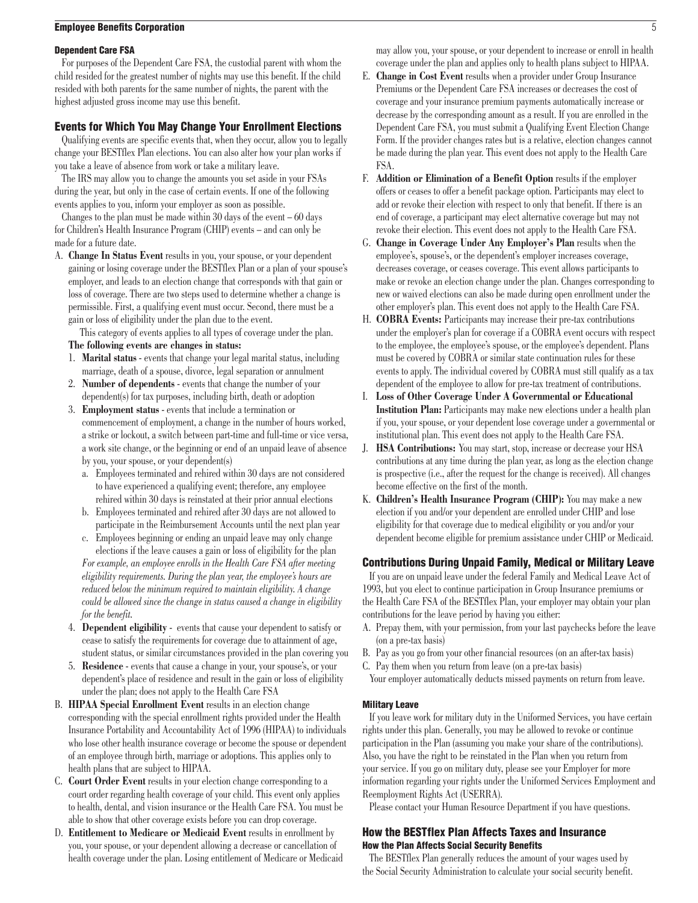### <span id="page-4-0"></span>**Employee Benefits Corporation** 5

#### Dependent Care FSA

For purposes of the Dependent Care FSA, the custodial parent with whom the child resided for the greatest number of nights may use this benefit. If the child resided with both parents for the same number of nights, the parent with the highest adjusted gross income may use this benefit.

#### Events for Which You May Change Your Enrollment Elections

Qualifying events are specific events that, when they occur, allow you to legally change your BESTflex Plan elections. You can also alter how your plan works if you take a leave of absence from work or take a military leave.

The IRS may allow you to change the amounts you set aside in your FSAs during the year, but only in the case of certain events. If one of the following events applies to you, inform your employer as soon as possible.

Changes to the plan must be made within  $30 \text{ days}$  of the event  $-60 \text{ days}$ for Children's Health Insurance Program (CHIP) events – and can only be made for a future date.

A. **Change In Status Event** results in you, your spouse, or your dependent gaining or losing coverage under the BESTflex Plan or a plan of your spouse's employer, and leads to an election change that corresponds with that gain or loss of coverage. There are two steps used to determine whether a change is permissible. First, a qualifying event must occur. Second, there must be a gain or loss of eligibility under the plan due to the event.

 This category of events applies to all types of coverage under the plan. **The following events are changes in status:**

- 1. **Marital status** events that change your legal marital status, including marriage, death of a spouse, divorce, legal separation or annulment
- 2. **Number of dependents** events that change the number of your dependent(s) for tax purposes, including birth, death or adoption
- 3. **Employment status** events that include a termination or commencement of employment, a change in the number of hours worked, a strike or lockout, a switch between part-time and full-time or vice versa, a work site change, or the beginning or end of an unpaid leave of absence by you, your spouse, or your dependent(s)
	- a. Employees terminated and rehired within 30 days are not considered to have experienced a qualifying event; therefore, any employee rehired within 30 days is reinstated at their prior annual elections
	- b. Employees terminated and rehired after 30 days are not allowed to participate in the Reimbursement Accounts until the next plan year
	- c. Employees beginning or ending an unpaid leave may only change elections if the leave causes a gain or loss of eligibility for the plan *For example, an employee enrolls in the Health Care FSA after meeting eligibility requirements. During the plan year, the employee's hours are*

*reduced below the minimum required to maintain eligibility. A change could be allowed since the change in status caused a change in eligibility for the benefit.*

- 4. **Dependent eligibility** events that cause your dependent to satisfy or cease to satisfy the requirements for coverage due to attainment of age, student status, or similar circumstances provided in the plan covering you
- 5. **Residence** events that cause a change in your, your spouse's, or your dependent's place of residence and result in the gain or loss of eligibility under the plan; does not apply to the Health Care FSA
- B. **HIPAA Special Enrollment Event** results in an election change corresponding with the special enrollment rights provided under the Health Insurance Portability and Accountability Act of 1996 (HIPAA) to individuals who lose other health insurance coverage or become the spouse or dependent of an employee through birth, marriage or adoptions. This applies only to health plans that are subject to HIPAA.
- C. **Court Order Event** results in your election change corresponding to a court order regarding health coverage of your child. This event only applies to health, dental, and vision insurance or the Health Care FSA. You must be able to show that other coverage exists before you can drop coverage.
- D. **Entitlement to Medicare or Medicaid Event** results in enrollment by you, your spouse, or your dependent allowing a decrease or cancellation of health coverage under the plan. Losing entitlement of Medicare or Medicaid

may allow you, your spouse, or your dependent to increase or enroll in health coverage under the plan and applies only to health plans subject to HIPAA.

- E. **Change in Cost Event** results when a provider under Group Insurance Premiums or the Dependent Care FSA increases or decreases the cost of coverage and your insurance premium payments automatically increase or decrease by the corresponding amount as a result. If you are enrolled in the Dependent Care FSA, you must submit a Qualifying Event Election Change Form. If the provider changes rates but is a relative, election changes cannot be made during the plan year. This event does not apply to the Health Care FSA.
- F. **Addition or Elimination of a Benefit Option** results if the employer offers or ceases to offer a benefit package option. Participants may elect to add or revoke their election with respect to only that benefit. If there is an end of coverage, a participant may elect alternative coverage but may not revoke their election. This event does not apply to the Health Care FSA.
- G. **Change in Coverage Under Any Employer's Plan** results when the employee's, spouse's, or the dependent's employer increases coverage, decreases coverage, or ceases coverage. This event allows participants to make or revoke an election change under the plan. Changes corresponding to new or waived elections can also be made during open enrollment under the other employer's plan. This event does not apply to the Health Care FSA.
- H. **COBRA Events:** Participants may increase their pre-tax contributions under the employer's plan for coverage if a COBRA event occurs with respect to the employee, the employee's spouse, or the employee's dependent. Plans must be covered by COBRA or similar state continuation rules for these events to apply. The individual covered by COBRA must still qualify as a tax dependent of the employee to allow for pre-tax treatment of contributions.
- I. **Loss of Other Coverage Under A Governmental or Educational Institution Plan:** Participants may make new elections under a health plan if you, your spouse, or your dependent lose coverage under a governmental or institutional plan. This event does not apply to the Health Care FSA.
- J. **HSA Contributions:** You may start, stop, increase or decrease your HSA contributions at any time during the plan year, as long as the election change is prospective (i.e., after the request for the change is received). All changes become effective on the first of the month.
- K. **Children's Health Insurance Program (CHIP):** You may make a new election if you and/or your dependent are enrolled under CHIP and lose eligibility for that coverage due to medical eligibility or you and/or your dependent become eligible for premium assistance under CHIP or Medicaid.

# Contributions During Unpaid Family, Medical or Military Leave

If you are on unpaid leave under the federal Family and Medical Leave Act of 1993, but you elect to continue participation in Group Insurance premiums or the Health Care FSA of the BESTflex Plan, your employer may obtain your plan contributions for the leave period by having you either:

- A. Prepay them, with your permission, from your last paychecks before the leave (on a pre-tax basis)
- B. Pay as you go from your other financial resources (on an after-tax basis)
- C. Pay them when you return from leave (on a pre-tax basis)
- Your employer automatically deducts missed payments on return from leave.

#### Military Leave

If you leave work for military duty in the Uniformed Services, you have certain rights under this plan. Generally, you may be allowed to revoke or continue participation in the Plan (assuming you make your share of the contributions). Also, you have the right to be reinstated in the Plan when you return from your service. If you go on military duty, please see your Employer for more information regarding your rights under the Uniformed Services Employment and Reemployment Rights Act (USERRA).

Please contact your Human Resource Department if you have questions.

# How the BESTflex Plan Affects Taxes and Insurance How the Plan Affects Social Security Benefits

The BESTflex Plan generally reduces the amount of your wages used by the Social Security Administration to calculate your social security benefit.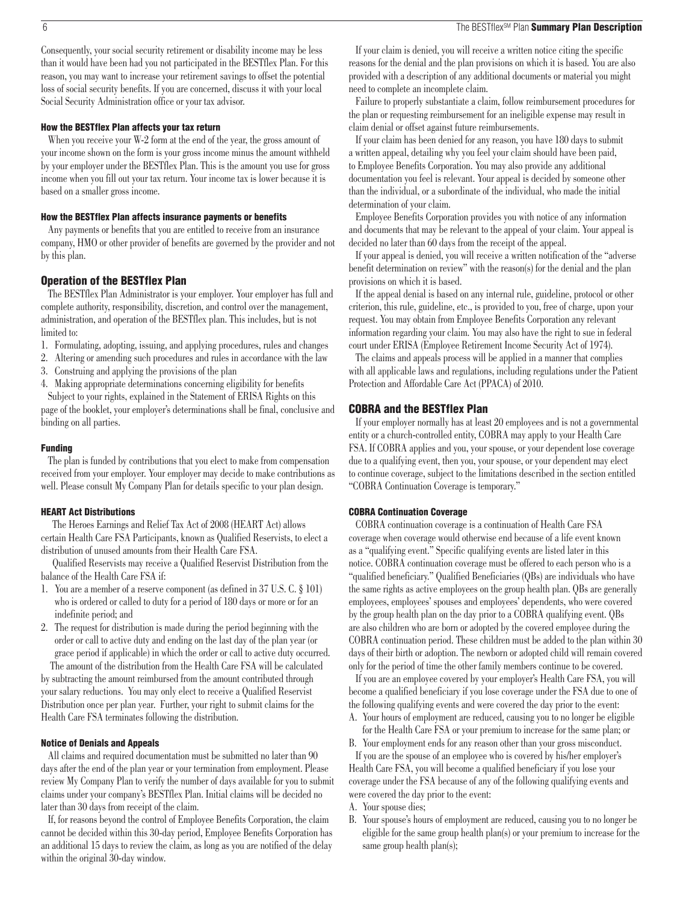#### <span id="page-5-0"></span>6 The BESTflex<sup>SM</sup> Plan **Summary Plan Description**

Consequently, your social security retirement or disability income may be less than it would have been had you not participated in the BESTflex Plan. For this reason, you may want to increase your retirement savings to offset the potential loss of social security benefits. If you are concerned, discuss it with your local Social Security Administration office or your tax advisor.

#### How the BESTflex Plan affects your tax return

When you receive your W-2 form at the end of the year, the gross amount of your income shown on the form is your gross income minus the amount withheld by your employer under the BESTflex Plan. This is the amount you use for gross income when you fill out your tax return. Your income tax is lower because it is based on a smaller gross income.

#### How the BESTflex Plan affects insurance payments or benefits

Any payments or benefits that you are entitled to receive from an insurance company, HMO or other provider of benefits are governed by the provider and not by this plan.

#### Operation of the BESTflex Plan

The BESTflex Plan Administrator is your employer. Your employer has full and complete authority, responsibility, discretion, and control over the management, administration, and operation of the BESTflex plan. This includes, but is not limited to:

- 1. Formulating, adopting, issuing, and applying procedures, rules and changes
- 2. Altering or amending such procedures and rules in accordance with the law
- 3. Construing and applying the provisions of the plan
- 4. Making appropriate determinations concerning eligibility for benefits

Subject to your rights, explained in the Statement of ERISA Rights on this page of the booklet, your employer's determinations shall be final, conclusive and binding on all parties.

#### Funding

The plan is funded by contributions that you elect to make from compensation received from your employer. Your employer may decide to make contributions as well. Please consult My Company Plan for details specific to your plan design.

#### HEART Act Distributions

 The Heroes Earnings and Relief Tax Act of 2008 (HEART Act) allows certain Health Care FSA Participants, known as Qualified Reservists, to elect a distribution of unused amounts from their Health Care FSA.

 Qualified Reservists may receive a Qualified Reservist Distribution from the balance of the Health Care FSA if:

- 1. You are a member of a reserve component (as defined in 37 U.S. C. § 101) who is ordered or called to duty for a period of 180 days or more or for an indefinite period; and
- 2. The request for distribution is made during the period beginning with the order or call to active duty and ending on the last day of the plan year (or grace period if applicable) in which the order or call to active duty occurred. The amount of the distribution from the Health Care FSA will be calculated

by subtracting the amount reimbursed from the amount contributed through your salary reductions. You may only elect to receive a Qualified Reservist Distribution once per plan year. Further, your right to submit claims for the Health Care FSA terminates following the distribution.

#### Notice of Denials and Appeals

All claims and required documentation must be submitted no later than 90 days after the end of the plan year or your termination from employment. Please review My Company Plan to verify the number of days available for you to submit claims under your company's BESTflex Plan. Initial claims will be decided no later than 30 days from receipt of the claim.

If, for reasons beyond the control of Employee Benefits Corporation, the claim cannot be decided within this 30-day period, Employee Benefits Corporation has an additional 15 days to review the claim, as long as you are notified of the delay within the original 30-day window.

If your claim is denied, you will receive a written notice citing the specific reasons for the denial and the plan provisions on which it is based. You are also provided with a description of any additional documents or material you might need to complete an incomplete claim.

Failure to properly substantiate a claim, follow reimbursement procedures for the plan or requesting reimbursement for an ineligible expense may result in claim denial or offset against future reimbursements.

If your claim has been denied for any reason, you have 180 days to submit a written appeal, detailing why you feel your claim should have been paid, to Employee Benefits Corporation. You may also provide any additional documentation you feel is relevant. Your appeal is decided by someone other than the individual, or a subordinate of the individual, who made the initial determination of your claim.

Employee Benefits Corporation provides you with notice of any information and documents that may be relevant to the appeal of your claim. Your appeal is decided no later than 60 days from the receipt of the appeal.

If your appeal is denied, you will receive a written notification of the "adverse benefit determination on review" with the reason(s) for the denial and the plan provisions on which it is based.

If the appeal denial is based on any internal rule, guideline, protocol or other criterion, this rule, guideline, etc., is provided to you, free of charge, upon your request. You may obtain from Employee Benefits Corporation any relevant information regarding your claim. You may also have the right to sue in federal court under ERISA (Employee Retirement Income Security Act of 1974).

The claims and appeals process will be applied in a manner that complies with all applicable laws and regulations, including regulations under the Patient Protection and Affordable Care Act (PPACA) of 2010.

#### COBRA and the BESTflex Plan

If your employer normally has at least 20 employees and is not a governmental entity or a church-controlled entity, COBRA may apply to your Health Care FSA. If COBRA applies and you, your spouse, or your dependent lose coverage due to a qualifying event, then you, your spouse, or your dependent may elect to continue coverage, subject to the limitations described in the section entitled "COBRA Continuation Coverage is temporary."

#### COBRA Continuation Coverage

COBRA continuation coverage is a continuation of Health Care FSA coverage when coverage would otherwise end because of a life event known as a "qualifying event." Specific qualifying events are listed later in this notice. COBRA continuation coverage must be offered to each person who is a "qualified beneficiary." Qualified Beneficiaries (QBs) are individuals who have the same rights as active employees on the group health plan. QBs are generally employees, employees' spouses and employees' dependents, who were covered by the group health plan on the day prior to a COBRA qualifying event. QBs are also children who are born or adopted by the covered employee during the COBRA continuation period. These children must be added to the plan within 30 days of their birth or adoption. The newborn or adopted child will remain covered only for the period of time the other family members continue to be covered.

If you are an employee covered by your employer's Health Care FSA, you will become a qualified beneficiary if you lose coverage under the FSA due to one of the following qualifying events and were covered the day prior to the event: A. Your hours of employment are reduced, causing you to no longer be eligible

for the Health Care FSA or your premium to increase for the same plan; or

B. Your employment ends for any reason other than your gross misconduct. If you are the spouse of an employee who is covered by his/her employer's Health Care FSA, you will become a qualified beneficiary if you lose your coverage under the FSA because of any of the following qualifying events and were covered the day prior to the event:

- A. Your spouse dies;
- B. Your spouse's hours of employment are reduced, causing you to no longer be eligible for the same group health plan(s) or your premium to increase for the same group health plan(s);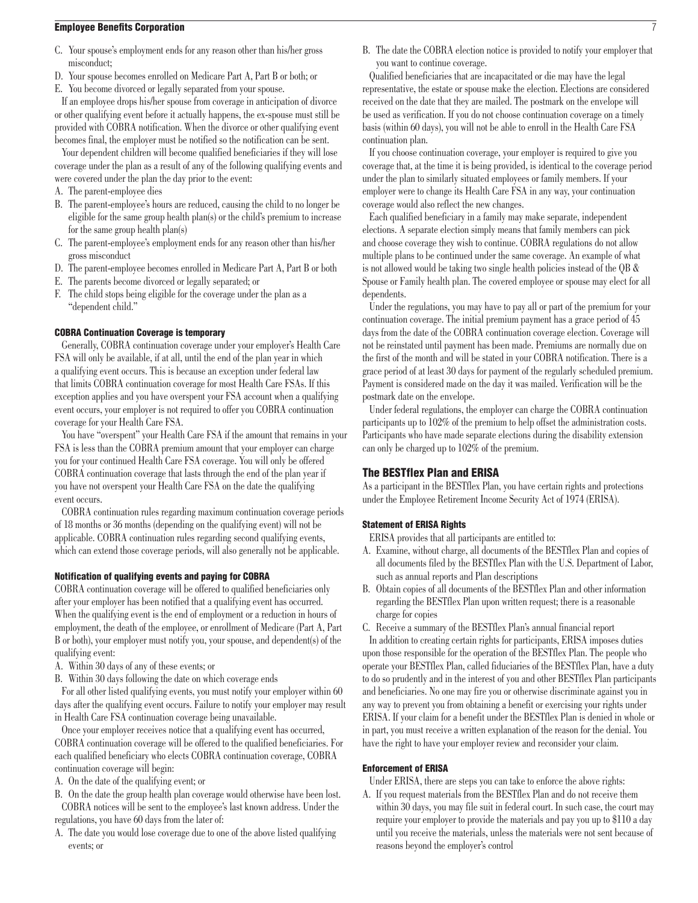### <span id="page-6-0"></span>Employee Benefits Corporation 7

- C. Your spouse's employment ends for any reason other than his/her gross misconduct;
- D. Your spouse becomes enrolled on Medicare Part A, Part B or both; or
- E. You become divorced or legally separated from your spouse.

If an employee drops his/her spouse from coverage in anticipation of divorce or other qualifying event before it actually happens, the ex-spouse must still be provided with COBRA notification. When the divorce or other qualifying event becomes final, the employer must be notified so the notification can be sent.

Your dependent children will become qualified beneficiaries if they will lose coverage under the plan as a result of any of the following qualifying events and were covered under the plan the day prior to the event:

- A. The parent-employee dies
- B. The parent-employee's hours are reduced, causing the child to no longer be eligible for the same group health plan(s) or the child's premium to increase for the same group health plan(s)
- C. The parent-employee's employment ends for any reason other than his/her gross misconduct
- D. The parent-employee becomes enrolled in Medicare Part A, Part B or both
- E. The parents become divorced or legally separated; or
- F. The child stops being eligible for the coverage under the plan as a "dependent child."

# COBRA Continuation Coverage is temporary

Generally, COBRA continuation coverage under your employer's Health Care FSA will only be available, if at all, until the end of the plan year in which a qualifying event occurs. This is because an exception under federal law that limits COBRA continuation coverage for most Health Care FSAs. If this exception applies and you have overspent your FSA account when a qualifying event occurs, your employer is not required to offer you COBRA continuation coverage for your Health Care FSA.

You have "overspent" your Health Care FSA if the amount that remains in your FSA is less than the COBRA premium amount that your employer can charge you for your continued Health Care FSA coverage. You will only be offered COBRA continuation coverage that lasts through the end of the plan year if you have not overspent your Health Care FSA on the date the qualifying event occurs.

COBRA continuation rules regarding maximum continuation coverage periods of 18 months or 36 months (depending on the qualifying event) will not be applicable. COBRA continuation rules regarding second qualifying events, which can extend those coverage periods, will also generally not be applicable.

# Notification of qualifying events and paying for COBRA

COBRA continuation coverage will be offered to qualified beneficiaries only after your employer has been notified that a qualifying event has occurred. When the qualifying event is the end of employment or a reduction in hours of employment, the death of the employee, or enrollment of Medicare (Part A, Part B or both), your employer must notify you, your spouse, and dependent(s) of the qualifying event:

- A. Within 30 days of any of these events; or
- B. Within 30 days following the date on which coverage ends

For all other listed qualifying events, you must notify your employer within 60 days after the qualifying event occurs. Failure to notify your employer may result in Health Care FSA continuation coverage being unavailable.

Once your employer receives notice that a qualifying event has occurred, COBRA continuation coverage will be offered to the qualified beneficiaries. For each qualified beneficiary who elects COBRA continuation coverage, COBRA continuation coverage will begin:

- A. On the date of the qualifying event; or
- B. On the date the group health plan coverage would otherwise have been lost. COBRA notices will be sent to the employee's last known address. Under the regulations, you have 60 days from the later of:
- A. The date you would lose coverage due to one of the above listed qualifying events; or

B. The date the COBRA election notice is provided to notify your employer that you want to continue coverage.

Qualified beneficiaries that are incapacitated or die may have the legal representative, the estate or spouse make the election. Elections are considered received on the date that they are mailed. The postmark on the envelope will be used as verification. If you do not choose continuation coverage on a timely basis (within 60 days), you will not be able to enroll in the Health Care FSA continuation plan.

If you choose continuation coverage, your employer is required to give you coverage that, at the time it is being provided, is identical to the coverage period under the plan to similarly situated employees or family members. If your employer were to change its Health Care FSA in any way, your continuation coverage would also reflect the new changes.

Each qualified beneficiary in a family may make separate, independent elections. A separate election simply means that family members can pick and choose coverage they wish to continue. COBRA regulations do not allow multiple plans to be continued under the same coverage. An example of what is not allowed would be taking two single health policies instead of the QB & Spouse or Family health plan. The covered employee or spouse may elect for all dependents.

Under the regulations, you may have to pay all or part of the premium for your continuation coverage. The initial premium payment has a grace period of 45 days from the date of the COBRA continuation coverage election. Coverage will not be reinstated until payment has been made. Premiums are normally due on the first of the month and will be stated in your COBRA notification. There is a grace period of at least 30 days for payment of the regularly scheduled premium. Payment is considered made on the day it was mailed. Verification will be the postmark date on the envelope.

Under federal regulations, the employer can charge the COBRA continuation participants up to 102% of the premium to help offset the administration costs. Participants who have made separate elections during the disability extension can only be charged up to 102% of the premium.

# The BESTflex Plan and ERISA

As a participant in the BESTflex Plan, you have certain rights and protections under the Employee Retirement Income Security Act of 1974 (ERISA).

#### **Statement of ERISA Rights**

ERISA provides that all participants are entitled to:

- A. Examine, without charge, all documents of the BESTflex Plan and copies of all documents filed by the BESTflex Plan with the U.S. Department of Labor, such as annual reports and Plan descriptions
- B. Obtain copies of all documents of the BESTflex Plan and other information regarding the BESTflex Plan upon written request; there is a reasonable charge for copies

C. Receive a summary of the BESTflex Plan's annual financial report

In addition to creating certain rights for participants, ERISA imposes duties upon those responsible for the operation of the BESTflex Plan. The people who operate your BESTflex Plan, called fiduciaries of the BESTflex Plan, have a duty to do so prudently and in the interest of you and other BESTflex Plan participants and beneficiaries. No one may fire you or otherwise discriminate against you in any way to prevent you from obtaining a benefit or exercising your rights under ERISA. If your claim for a benefit under the BESTflex Plan is denied in whole or in part, you must receive a written explanation of the reason for the denial. You have the right to have your employer review and reconsider your claim.

#### Enforcement of ERISA

Under ERISA, there are steps you can take to enforce the above rights:

A. If you request materials from the BESTflex Plan and do not receive them within 30 days, you may file suit in federal court. In such case, the court may require your employer to provide the materials and pay you up to \$110 a day until you receive the materials, unless the materials were not sent because of reasons beyond the employer's control